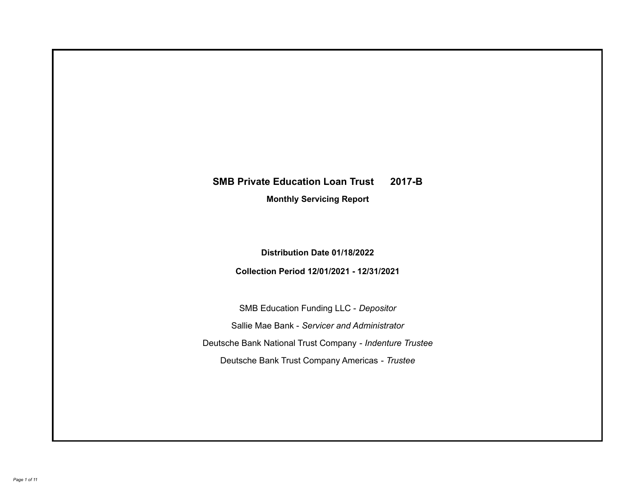# **SMB Private Education Loan Trust 2017-B**

**Monthly Servicing Report**

**Distribution Date 01/18/2022**

**Collection Period 12/01/2021 - 12/31/2021**

SMB Education Funding LLC - *Depositor* Sallie Mae Bank - *Servicer and Administrator* Deutsche Bank National Trust Company - *Indenture Trustee* Deutsche Bank Trust Company Americas - *Trustee*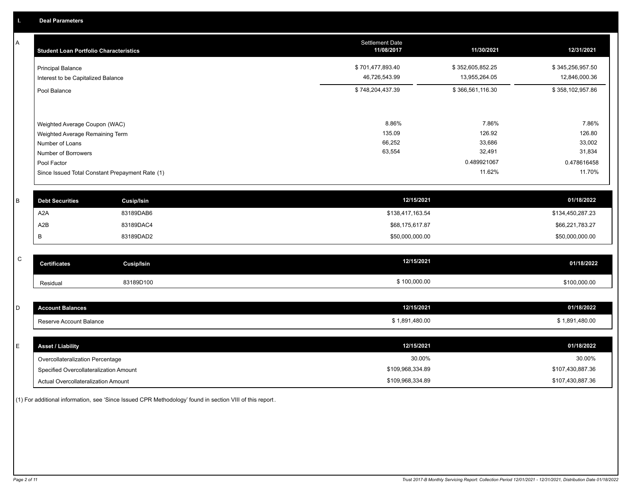A

| A         | <b>Student Loan Portfolio Characteristics</b> |                                                 | <b>Settlement Date</b><br>11/08/2017 | 11/30/2021       | 12/31/2021       |
|-----------|-----------------------------------------------|-------------------------------------------------|--------------------------------------|------------------|------------------|
|           | <b>Principal Balance</b>                      |                                                 | \$701,477,893.40                     | \$352,605,852.25 | \$345,256,957.50 |
|           | Interest to be Capitalized Balance            |                                                 | 46,726,543.99                        | 13,955,264.05    | 12,846,000.36    |
|           | Pool Balance                                  |                                                 | \$748,204,437.39                     | \$366,561,116.30 | \$358,102,957.86 |
|           |                                               |                                                 |                                      |                  |                  |
|           | Weighted Average Coupon (WAC)                 |                                                 | 8.86%                                | 7.86%<br>126.92  | 7.86%<br>126.80  |
|           | Weighted Average Remaining Term               |                                                 | 135.09<br>66,252                     | 33,686           | 33,002           |
|           | Number of Loans<br>Number of Borrowers        |                                                 | 63,554                               | 32,491           | 31,834           |
|           | Pool Factor                                   |                                                 |                                      | 0.489921067      | 0.478616458      |
|           |                                               | Since Issued Total Constant Prepayment Rate (1) |                                      | 11.62%           | 11.70%           |
|           |                                               |                                                 |                                      |                  |                  |
|           |                                               |                                                 |                                      |                  |                  |
| B         | <b>Debt Securities</b>                        | <b>Cusip/Isin</b>                               | 12/15/2021                           |                  | 01/18/2022       |
|           | A <sub>2</sub> A                              | 83189DAB6                                       | \$138,417,163.54                     |                  | \$134,450,287.23 |
|           | A2B                                           | 83189DAC4                                       | \$68,175,617.87                      |                  | \$66,221,783.27  |
|           | B                                             | 83189DAD2                                       | \$50,000,000.00                      |                  | \$50,000,000.00  |
|           |                                               |                                                 |                                      |                  |                  |
| ${\bf C}$ | <b>Certificates</b>                           | <b>Cusip/Isin</b>                               | 12/15/2021                           |                  | 01/18/2022       |
|           | Residual                                      | 83189D100                                       | \$100,000.00                         |                  | \$100,000.00     |
|           |                                               |                                                 |                                      |                  |                  |
| D         | <b>Account Balances</b>                       |                                                 | 12/15/2021                           |                  | 01/18/2022       |
|           | Reserve Account Balance                       |                                                 | \$1,891,480.00                       |                  | \$1,891,480.00   |
|           |                                               |                                                 |                                      |                  |                  |
| E         | <b>Asset / Liability</b>                      |                                                 | 12/15/2021                           |                  | 01/18/2022       |

Overcollateralization Percentage

Specified Overcollateralization Amount

Actual Overcollateralization Amount \$109,968,334.89

(1) For additional information, see 'Since Issued CPR Methodology' found in section VIII of this report .

30.00% 30.00%

\$107,430,887.36 \$107,430,887.36

\$109,968,334.89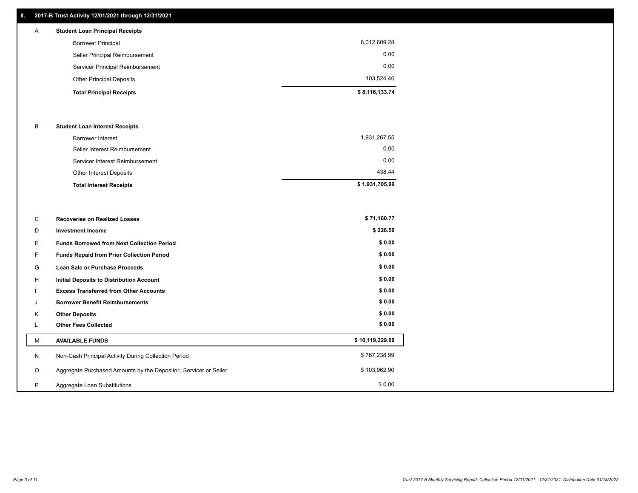# **II. 2017-B Trust Activity 12/01/2021 through 12/31/2021**

| $\mathsf{A}$                    | <b>Student Loan Principal Receipts</b> |                |
|---------------------------------|----------------------------------------|----------------|
|                                 | <b>Borrower Principal</b>              | 8,012,609.28   |
|                                 | Seller Principal Reimbursement         | 0.00           |
|                                 | Servicer Principal Reimbursement       | 0.00           |
| <b>Other Principal Deposits</b> |                                        | 103,524.46     |
|                                 | <b>Total Principal Receipts</b>        | \$8,116,133.74 |

### B **Student Loan Interest Receipts**

| <b>Total Interest Receipts</b>  | \$1,931,705.99 |
|---------------------------------|----------------|
| <b>Other Interest Deposits</b>  | 438.44         |
| Servicer Interest Reimbursement | 0.00           |
| Seller Interest Reimbursement   | 0.00           |
| Borrower Interest               | 1,931,267.55   |

| C       | <b>Recoveries on Realized Losses</b>                             | \$71,160.77     |
|---------|------------------------------------------------------------------|-----------------|
| D       | <b>Investment Income</b>                                         | \$228.59        |
| Е       | <b>Funds Borrowed from Next Collection Period</b>                | \$0.00          |
| F.      | <b>Funds Repaid from Prior Collection Period</b>                 | \$0.00          |
| G       | Loan Sale or Purchase Proceeds                                   | \$0.00          |
| H       | <b>Initial Deposits to Distribution Account</b>                  | \$0.00          |
|         | <b>Excess Transferred from Other Accounts</b>                    | \$0.00          |
| J       | <b>Borrower Benefit Reimbursements</b>                           | \$0.00          |
| K       | <b>Other Deposits</b>                                            | \$0.00          |
| ц.      | <b>Other Fees Collected</b>                                      | \$0.00          |
| м       | <b>AVAILABLE FUNDS</b>                                           | \$10,119,229.09 |
| N       | Non-Cash Principal Activity During Collection Period             | \$767,238.99    |
| $\circ$ | Aggregate Purchased Amounts by the Depositor, Servicer or Seller | \$103,962.90    |
| P       | Aggregate Loan Substitutions                                     | \$0.00          |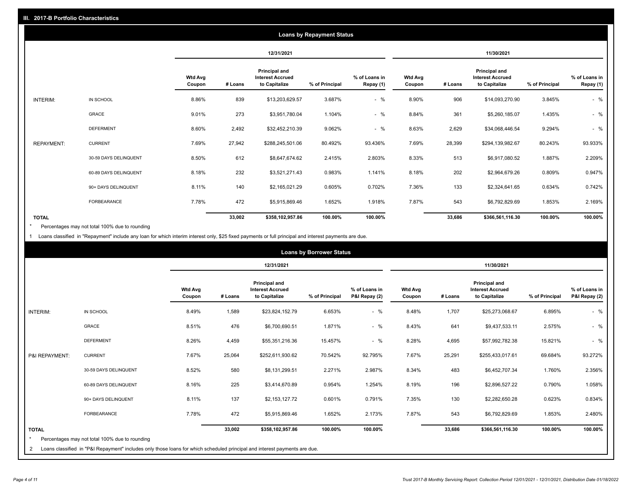|                   | <b>Loans by Repayment Status</b> |                          |            |                                                           |                |                            |                          |         |                                                           |                |                            |
|-------------------|----------------------------------|--------------------------|------------|-----------------------------------------------------------|----------------|----------------------------|--------------------------|---------|-----------------------------------------------------------|----------------|----------------------------|
|                   |                                  |                          | 12/31/2021 |                                                           |                | 11/30/2021                 |                          |         |                                                           |                |                            |
|                   |                                  | <b>Wtd Avg</b><br>Coupon | # Loans    | Principal and<br><b>Interest Accrued</b><br>to Capitalize | % of Principal | % of Loans in<br>Repay (1) | <b>Wtd Avg</b><br>Coupon | # Loans | Principal and<br><b>Interest Accrued</b><br>to Capitalize | % of Principal | % of Loans in<br>Repay (1) |
| INTERIM:          | IN SCHOOL                        | 8.86%                    | 839        | \$13,203,629.57                                           | 3.687%         | $-$ %                      | 8.90%                    | 906     | \$14,093,270.90                                           | 3.845%         | $-$ %                      |
|                   | GRACE                            | 9.01%                    | 273        | \$3,951,780.04                                            | 1.104%         | $-$ %                      | 8.84%                    | 361     | \$5,260,185.07                                            | 1.435%         | $-$ %                      |
|                   | <b>DEFERMENT</b>                 | 8.60%                    | 2,492      | \$32,452,210.39                                           | 9.062%         | $-$ %                      | 8.63%                    | 2,629   | \$34,068,446.54                                           | 9.294%         | $-$ %                      |
| <b>REPAYMENT:</b> | <b>CURRENT</b>                   | 7.69%                    | 27,942     | \$288,245,501.06                                          | 80.492%        | 93.436%                    | 7.69%                    | 28,399  | \$294,139,982.67                                          | 80.243%        | 93.933%                    |
|                   | 30-59 DAYS DELINQUENT            | 8.50%                    | 612        | \$8,647,674.62                                            | 2.415%         | 2.803%                     | 8.33%                    | 513     | \$6,917,080.52                                            | 1.887%         | 2.209%                     |
|                   | 60-89 DAYS DELINQUENT            | 8.18%                    | 232        | \$3,521,271.43                                            | 0.983%         | 1.141%                     | 8.18%                    | 202     | \$2,964,679.26                                            | 0.809%         | 0.947%                     |
|                   | 90+ DAYS DELINQUENT              | 8.11%                    | 140        | \$2,165,021.29                                            | 0.605%         | 0.702%                     | 7.36%                    | 133     | \$2,324,641.65                                            | 0.634%         | 0.742%                     |
|                   | <b>FORBEARANCE</b>               | 7.78%                    | 472        | \$5,915,869.46                                            | 1.652%         | 1.918%                     | 7.87%                    | 543     | \$6,792,829.69                                            | 1.853%         | 2.169%                     |
| <b>TOTAL</b>      |                                  |                          | 33,002     | \$358,102,957.86                                          | 100.00%        | 100.00%                    |                          | 33,686  | \$366,561,116.30                                          | 100.00%        | 100.00%                    |

Percentages may not total 100% due to rounding \*

1 Loans classified in "Repayment" include any loan for which interim interest only, \$25 fixed payments or full principal and interest payments are due.

|                | <b>Loans by Borrower Status</b>                                                                                            |                          |         |                                                           |                |                                |                          |         |                                                                  |                |                                |
|----------------|----------------------------------------------------------------------------------------------------------------------------|--------------------------|---------|-----------------------------------------------------------|----------------|--------------------------------|--------------------------|---------|------------------------------------------------------------------|----------------|--------------------------------|
|                |                                                                                                                            |                          |         | 12/31/2021                                                |                |                                |                          |         | 11/30/2021                                                       |                |                                |
|                |                                                                                                                            | <b>Wtd Avg</b><br>Coupon | # Loans | Principal and<br><b>Interest Accrued</b><br>to Capitalize | % of Principal | % of Loans in<br>P&I Repay (2) | <b>Wtd Avg</b><br>Coupon | # Loans | <b>Principal and</b><br><b>Interest Accrued</b><br>to Capitalize | % of Principal | % of Loans in<br>P&I Repay (2) |
| INTERIM:       | IN SCHOOL                                                                                                                  | 8.49%                    | 1,589   | \$23,824,152.79                                           | 6.653%         | $-$ %                          | 8.48%                    | 1,707   | \$25,273,068.67                                                  | 6.895%         | $-$ %                          |
|                | GRACE                                                                                                                      | 8.51%                    | 476     | \$6,700,690.51                                            | 1.871%         | $-$ %                          | 8.43%                    | 641     | \$9,437,533.11                                                   | 2.575%         | $-$ %                          |
|                | <b>DEFERMENT</b>                                                                                                           | 8.26%                    | 4,459   | \$55,351,216.36                                           | 15.457%        | $-$ %                          | 8.28%                    | 4,695   | \$57,992,782.38                                                  | 15.821%        | $-$ %                          |
| P&I REPAYMENT: | <b>CURRENT</b>                                                                                                             | 7.67%                    | 25,064  | \$252,611,930.62                                          | 70.542%        | 92.795%                        | 7.67%                    | 25,291  | \$255,433,017.61                                                 | 69.684%        | 93.272%                        |
|                | 30-59 DAYS DELINQUENT                                                                                                      | 8.52%                    | 580     | \$8,131,299.51                                            | 2.271%         | 2.987%                         | 8.34%                    | 483     | \$6,452,707.34                                                   | 1.760%         | 2.356%                         |
|                | 60-89 DAYS DELINQUENT                                                                                                      | 8.16%                    | 225     | \$3,414,670.89                                            | 0.954%         | 1.254%                         | 8.19%                    | 196     | \$2,896,527.22                                                   | 0.790%         | 1.058%                         |
|                | 90+ DAYS DELINQUENT                                                                                                        | 8.11%                    | 137     | \$2,153,127.72                                            | 0.601%         | 0.791%                         | 7.35%                    | 130     | \$2,282,650.28                                                   | 0.623%         | 0.834%                         |
|                | <b>FORBEARANCE</b>                                                                                                         | 7.78%                    | 472     | \$5,915,869.46                                            | 1.652%         | 2.173%                         | 7.87%                    | 543     | \$6,792,829.69                                                   | 1.853%         | 2.480%                         |
| <b>TOTAL</b>   |                                                                                                                            |                          | 33,002  | \$358,102,957.86                                          | 100.00%        | 100.00%                        |                          | 33,686  | \$366,561,116.30                                                 | 100.00%        | 100.00%                        |
| $\star$        | Percentages may not total 100% due to rounding                                                                             |                          |         |                                                           |                |                                |                          |         |                                                                  |                |                                |
| 2              | Loans classified in "P&I Repayment" includes only those loans for which scheduled principal and interest payments are due. |                          |         |                                                           |                |                                |                          |         |                                                                  |                |                                |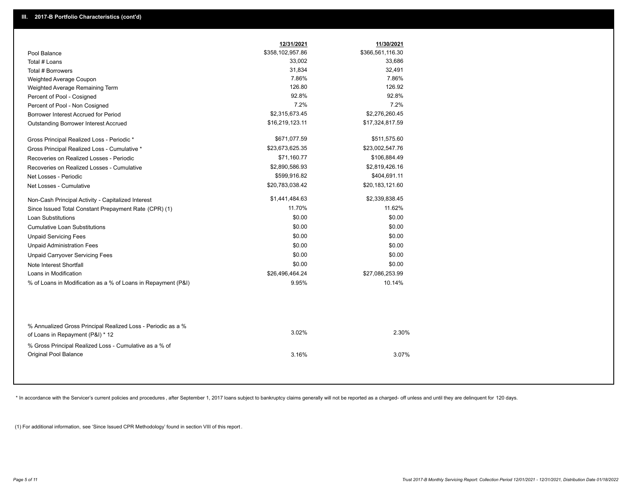|                                                                                                  | 12/31/2021       | 11/30/2021       |  |
|--------------------------------------------------------------------------------------------------|------------------|------------------|--|
| Pool Balance                                                                                     | \$358,102,957.86 | \$366,561,116.30 |  |
| Total # Loans                                                                                    | 33,002           | 33,686           |  |
| Total # Borrowers                                                                                | 31,834           | 32,491           |  |
| Weighted Average Coupon                                                                          | 7.86%            | 7.86%            |  |
| Weighted Average Remaining Term                                                                  | 126.80           | 126.92           |  |
| Percent of Pool - Cosigned                                                                       | 92.8%            | 92.8%            |  |
| Percent of Pool - Non Cosigned                                                                   | 7.2%             | 7.2%             |  |
| Borrower Interest Accrued for Period                                                             | \$2,315,673.45   | \$2,276,260.45   |  |
| <b>Outstanding Borrower Interest Accrued</b>                                                     | \$16,219,123.11  | \$17,324,817.59  |  |
| Gross Principal Realized Loss - Periodic *                                                       | \$671,077.59     | \$511,575.60     |  |
| Gross Principal Realized Loss - Cumulative *                                                     | \$23,673,625.35  | \$23,002,547.76  |  |
| Recoveries on Realized Losses - Periodic                                                         | \$71,160.77      | \$106,884.49     |  |
| Recoveries on Realized Losses - Cumulative                                                       | \$2,890,586.93   | \$2,819,426.16   |  |
| Net Losses - Periodic                                                                            | \$599,916.82     | \$404,691.11     |  |
| Net Losses - Cumulative                                                                          | \$20,783,038.42  | \$20,183,121.60  |  |
| Non-Cash Principal Activity - Capitalized Interest                                               | \$1,441,484.63   | \$2,339,838.45   |  |
| Since Issued Total Constant Prepayment Rate (CPR) (1)                                            | 11.70%           | 11.62%           |  |
| <b>Loan Substitutions</b>                                                                        | \$0.00           | \$0.00           |  |
| <b>Cumulative Loan Substitutions</b>                                                             | \$0.00           | \$0.00           |  |
| <b>Unpaid Servicing Fees</b>                                                                     | \$0.00           | \$0.00           |  |
| <b>Unpaid Administration Fees</b>                                                                | \$0.00           | \$0.00           |  |
| <b>Unpaid Carryover Servicing Fees</b>                                                           | \$0.00           | \$0.00           |  |
| Note Interest Shortfall                                                                          | \$0.00           | \$0.00           |  |
| Loans in Modification                                                                            | \$26,496,464.24  | \$27,086,253.99  |  |
| % of Loans in Modification as a % of Loans in Repayment (P&I)                                    | 9.95%            | 10.14%           |  |
|                                                                                                  |                  |                  |  |
| % Annualized Gross Principal Realized Loss - Periodic as a %<br>of Loans in Repayment (P&I) * 12 | 3.02%            | 2.30%            |  |
| % Gross Principal Realized Loss - Cumulative as a % of                                           |                  |                  |  |
| Original Pool Balance                                                                            | 3.16%            | 3.07%            |  |

\* In accordance with the Servicer's current policies and procedures, after September 1, 2017 loans subject to bankruptcy claims generally will not be reported as a charged- off unless and until they are delinquent for 120

(1) For additional information, see 'Since Issued CPR Methodology' found in section VIII of this report .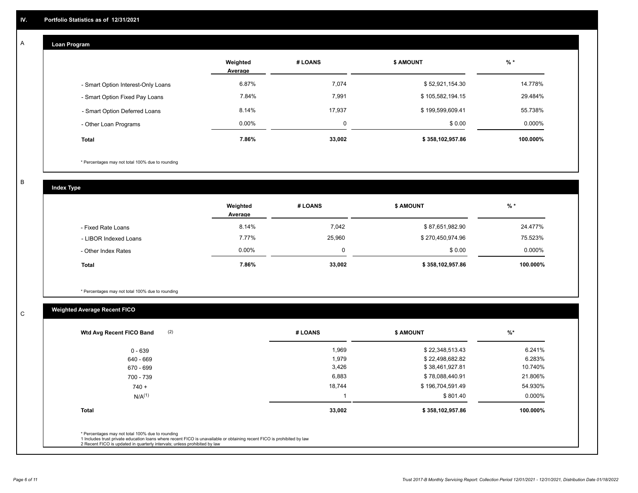#### **Loan Program**  A

|                                    | Weighted<br>Average | # LOANS | <b>\$ AMOUNT</b> | $%$ *    |
|------------------------------------|---------------------|---------|------------------|----------|
| - Smart Option Interest-Only Loans | 6.87%               | 7,074   | \$52,921,154.30  | 14.778%  |
| - Smart Option Fixed Pay Loans     | 7.84%               | 7,991   | \$105,582,194.15 | 29.484%  |
| - Smart Option Deferred Loans      | 8.14%               | 17.937  | \$199,599,609.41 | 55.738%  |
| - Other Loan Programs              | $0.00\%$            | O       | \$0.00           | 0.000%   |
| <b>Total</b>                       | 7.86%               | 33,002  | \$358,102,957.86 | 100.000% |

\* Percentages may not total 100% due to rounding

B

C

**Index Type**

|                       | Weighted<br>Average | # LOANS | <b>\$ AMOUNT</b> | $%$ *     |
|-----------------------|---------------------|---------|------------------|-----------|
| - Fixed Rate Loans    | 8.14%               | 7,042   | \$87,651,982.90  | 24.477%   |
| - LIBOR Indexed Loans | 7.77%               | 25,960  | \$270,450,974.96 | 75.523%   |
| - Other Index Rates   | $0.00\%$            |         | \$0.00           | $0.000\%$ |
| <b>Total</b>          | 7.86%               | 33,002  | \$358,102,957.86 | 100.000%  |

\* Percentages may not total 100% due to rounding

# **Weighted Average Recent FICO**

| (2)<br>Wtd Avg Recent FICO Band                                                                                                                                                                                                                          | # LOANS | \$ AMOUNT        | $%$ *    |
|----------------------------------------------------------------------------------------------------------------------------------------------------------------------------------------------------------------------------------------------------------|---------|------------------|----------|
| 0 - 639                                                                                                                                                                                                                                                  | 1,969   | \$22,348,513.43  | 6.241%   |
| 640 - 669                                                                                                                                                                                                                                                | 1,979   | \$22,498,682.82  | 6.283%   |
| 670 - 699                                                                                                                                                                                                                                                | 3,426   | \$38,461,927.81  | 10.740%  |
| 700 - 739                                                                                                                                                                                                                                                | 6,883   | \$78,088,440.91  | 21.806%  |
| $740 +$                                                                                                                                                                                                                                                  | 18,744  | \$196,704,591.49 | 54.930%  |
| $N/A^{(1)}$                                                                                                                                                                                                                                              |         | \$801.40         | 0.000%   |
| <b>Total</b>                                                                                                                                                                                                                                             | 33,002  | \$358,102,957.86 | 100.000% |
| * Percentages may not total 100% due to rounding<br>1 Includes trust private education loans where recent FICO is unavailable or obtaining recent FICO is prohibited by law<br>2 Recent FICO is updated in quarterly intervals; unless prohibited by law |         |                  |          |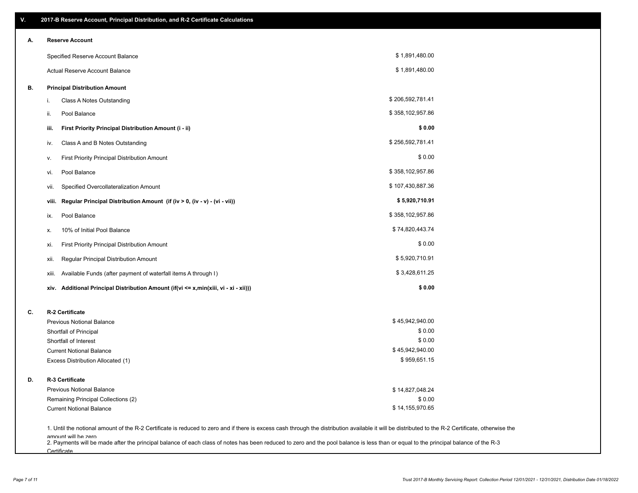| V. | 2017-B Reserve Account, Principal Distribution, and R-2 Certificate Calculations                                                                                                                                          |                  |  |
|----|---------------------------------------------------------------------------------------------------------------------------------------------------------------------------------------------------------------------------|------------------|--|
| А. | <b>Reserve Account</b>                                                                                                                                                                                                    |                  |  |
|    | Specified Reserve Account Balance                                                                                                                                                                                         | \$1,891,480.00   |  |
|    | Actual Reserve Account Balance                                                                                                                                                                                            | \$1,891,480.00   |  |
| В. | <b>Principal Distribution Amount</b>                                                                                                                                                                                      |                  |  |
|    | Class A Notes Outstanding<br>i.                                                                                                                                                                                           | \$206,592,781.41 |  |
|    | Pool Balance<br>ii.                                                                                                                                                                                                       | \$358,102,957.86 |  |
|    | First Priority Principal Distribution Amount (i - ii)<br>iii.                                                                                                                                                             | \$0.00           |  |
|    | Class A and B Notes Outstanding<br>iv.                                                                                                                                                                                    | \$256,592,781.41 |  |
|    | First Priority Principal Distribution Amount<br>۷.                                                                                                                                                                        | \$0.00           |  |
|    | Pool Balance<br>VI.                                                                                                                                                                                                       | \$358,102,957.86 |  |
|    | Specified Overcollateralization Amount<br>vii.                                                                                                                                                                            | \$107,430,887.36 |  |
|    | Regular Principal Distribution Amount (if (iv > 0, (iv - v) - (vi - vii))<br>viii.                                                                                                                                        | \$5,920,710.91   |  |
|    | Pool Balance<br>ix.                                                                                                                                                                                                       | \$358,102,957.86 |  |
|    | 10% of Initial Pool Balance<br>х.                                                                                                                                                                                         | \$74,820,443.74  |  |
|    | First Priority Principal Distribution Amount<br>xi.                                                                                                                                                                       | \$0.00           |  |
|    | Regular Principal Distribution Amount<br>xii.                                                                                                                                                                             | \$5,920,710.91   |  |
|    | Available Funds (after payment of waterfall items A through I)<br>xiii.                                                                                                                                                   | \$3,428,611.25   |  |
|    | Additional Principal Distribution Amount (if(vi <= x,min(xiii, vi - xi - xii)))<br>xiv.                                                                                                                                   | \$0.00           |  |
| C. | R-2 Certificate                                                                                                                                                                                                           |                  |  |
|    | <b>Previous Notional Balance</b>                                                                                                                                                                                          | \$45,942,940.00  |  |
|    | Shortfall of Principal                                                                                                                                                                                                    | \$0.00           |  |
|    | Shortfall of Interest                                                                                                                                                                                                     | \$0.00           |  |
|    | <b>Current Notional Balance</b>                                                                                                                                                                                           | \$45,942,940.00  |  |
|    | Excess Distribution Allocated (1)                                                                                                                                                                                         | \$959,651.15     |  |
| D. | R-3 Certificate                                                                                                                                                                                                           |                  |  |
|    | <b>Previous Notional Balance</b>                                                                                                                                                                                          | \$14,827,048.24  |  |
|    | Remaining Principal Collections (2)                                                                                                                                                                                       | \$0.00           |  |
|    | <b>Current Notional Balance</b>                                                                                                                                                                                           | \$14,155,970.65  |  |
|    | 1. Until the notional amount of the R-2 Certificate is reduced to zero and if there is excess cash through the distribution available it will be distributed to the R-2 Certificate, otherwise the<br>amount will be zero |                  |  |

amount will be zero<br>2. Payments will be made after the principal balance of each class of notes has been reduced to zero and the pool balance is less than or equal to the principal balance of the R-3 **Certificate**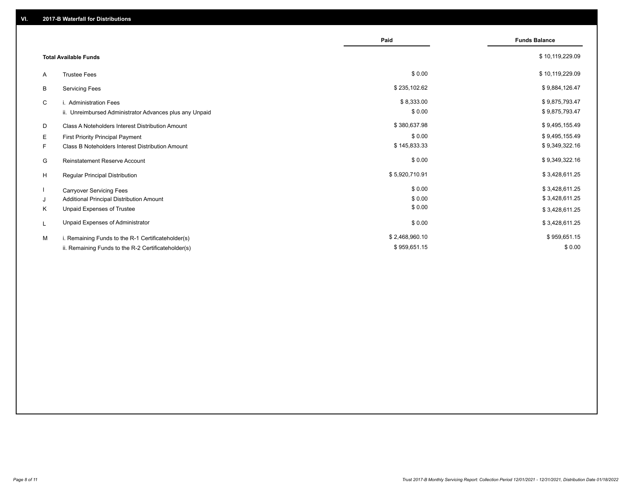|    |                                                         | Paid           | <b>Funds Balance</b> |
|----|---------------------------------------------------------|----------------|----------------------|
|    | <b>Total Available Funds</b>                            |                | \$10,119,229.09      |
| A  | <b>Trustee Fees</b>                                     | \$0.00         | \$10,119,229.09      |
| В  | <b>Servicing Fees</b>                                   | \$235,102.62   | \$9,884,126.47       |
| C  | i. Administration Fees                                  | \$8,333.00     | \$9,875,793.47       |
|    | ii. Unreimbursed Administrator Advances plus any Unpaid | \$0.00         | \$9,875,793.47       |
| D  | Class A Noteholders Interest Distribution Amount        | \$380,637.98   | \$9,495,155.49       |
| Е  | First Priority Principal Payment                        | \$0.00         | \$9,495,155.49       |
| F. | Class B Noteholders Interest Distribution Amount        | \$145,833.33   | \$9,349,322.16       |
| G  | <b>Reinstatement Reserve Account</b>                    | \$0.00         | \$9,349,322.16       |
| H  | Regular Principal Distribution                          | \$5,920,710.91 | \$3,428,611.25       |
|    | <b>Carryover Servicing Fees</b>                         | \$0.00         | \$3,428,611.25       |
| J  | Additional Principal Distribution Amount                | \$0.00         | \$3,428,611.25       |
| Κ  | Unpaid Expenses of Trustee                              | \$0.00         | \$3,428,611.25       |
| L  | Unpaid Expenses of Administrator                        | \$0.00         | \$3,428,611.25       |
| M  | i. Remaining Funds to the R-1 Certificateholder(s)      | \$2,468,960.10 | \$959,651.15         |
|    | ii. Remaining Funds to the R-2 Certificateholder(s)     | \$959,651.15   | \$0.00               |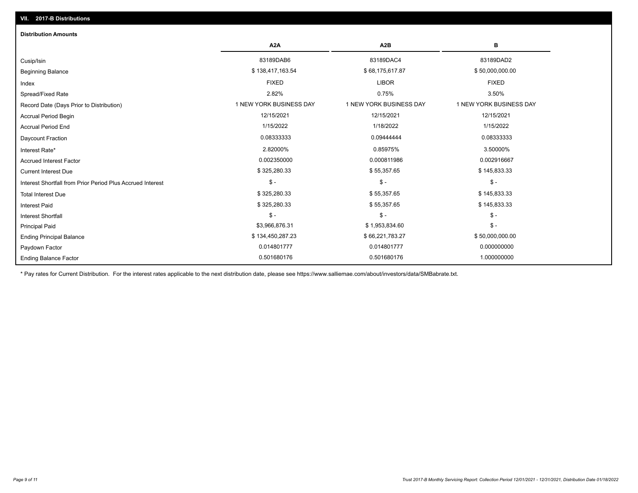| <b>Distribution Amounts</b>                                |                         |                         |                         |
|------------------------------------------------------------|-------------------------|-------------------------|-------------------------|
|                                                            | A <sub>2</sub> A        | A <sub>2</sub> B        | в                       |
| Cusip/Isin                                                 | 83189DAB6               | 83189DAC4               | 83189DAD2               |
| <b>Beginning Balance</b>                                   | \$138,417,163.54        | \$68,175,617.87         | \$50,000,000.00         |
| Index                                                      | <b>FIXED</b>            | <b>LIBOR</b>            | <b>FIXED</b>            |
| Spread/Fixed Rate                                          | 2.82%                   | 0.75%                   | 3.50%                   |
| Record Date (Days Prior to Distribution)                   | 1 NEW YORK BUSINESS DAY | 1 NEW YORK BUSINESS DAY | 1 NEW YORK BUSINESS DAY |
| <b>Accrual Period Begin</b>                                | 12/15/2021              | 12/15/2021              | 12/15/2021              |
| <b>Accrual Period End</b>                                  | 1/15/2022               | 1/18/2022               | 1/15/2022               |
| Daycount Fraction                                          | 0.08333333              | 0.09444444              | 0.08333333              |
| Interest Rate*                                             | 2.82000%                | 0.85975%                | 3.50000%                |
| <b>Accrued Interest Factor</b>                             | 0.002350000             | 0.000811986             | 0.002916667             |
| <b>Current Interest Due</b>                                | \$325,280.33            | \$55,357.65             | \$145,833.33            |
| Interest Shortfall from Prior Period Plus Accrued Interest | $$ -$                   | $\mathsf{\$}$ -         | $\mathsf{\$}$ -         |
| <b>Total Interest Due</b>                                  | \$325,280.33            | \$55,357.65             | \$145,833.33            |
| <b>Interest Paid</b>                                       | \$325,280.33            | \$55,357.65             | \$145,833.33            |
| Interest Shortfall                                         | $$ -$                   | $\frac{1}{2}$           | $\mathcal{S}$ -         |
| <b>Principal Paid</b>                                      | \$3,966,876.31          | \$1,953,834.60          | $$ -$                   |
| <b>Ending Principal Balance</b>                            | \$134,450,287.23        | \$66,221,783.27         | \$50,000,000.00         |
| Paydown Factor                                             | 0.014801777             | 0.014801777             | 0.000000000             |
| <b>Ending Balance Factor</b>                               | 0.501680176             | 0.501680176             | 1.000000000             |

\* Pay rates for Current Distribution. For the interest rates applicable to the next distribution date, please see https://www.salliemae.com/about/investors/data/SMBabrate.txt.

**VII. 2017-B Distributions**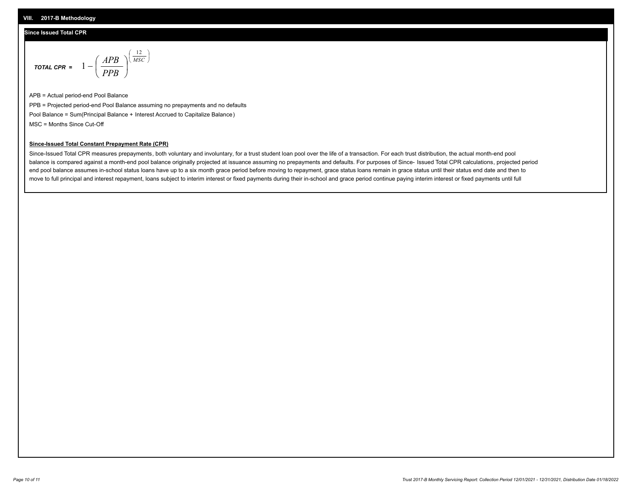## **Since Issued Total CPR**

$$
\text{total cPR} = 1 - \left(\frac{APB}{PPB}\right)^{\left(\frac{12}{MSC}\right)}
$$

APB = Actual period-end Pool Balance PPB = Projected period-end Pool Balance assuming no prepayments and no defaults Pool Balance = Sum(Principal Balance + Interest Accrued to Capitalize Balance) MSC = Months Since Cut-Off

I J Ι

### **Since-Issued Total Constant Prepayment Rate (CPR)**

Since-Issued Total CPR measures prepayments, both voluntary and involuntary, for a trust student loan pool over the life of a transaction. For each trust distribution, the actual month-end pool balance is compared against a month-end pool balance originally projected at issuance assuming no prepayments and defaults. For purposes of Since- Issued Total CPR calculations, projected period end pool balance assumes in-school status loans have up to a six month grace period before moving to repayment, grace status loans remain in grace status until their status end date and then to move to full principal and interest repayment, loans subject to interim interest or fixed payments during their in-school and grace period continue paying interim interest or fixed payments until full